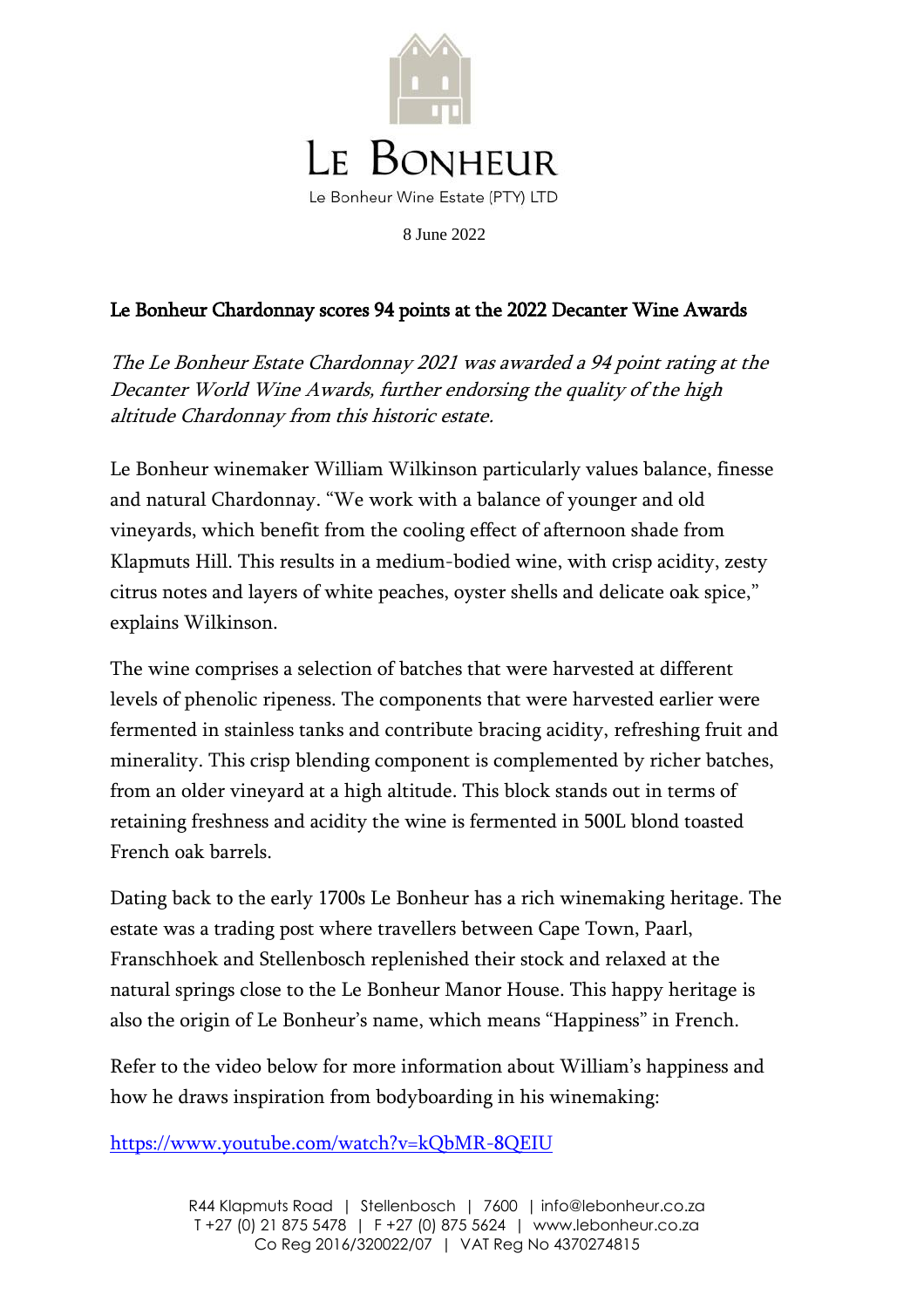

8 June 2022

## Le Bonheur Chardonnay scores 94 points at the 2022 Decanter Wine Awards

The Le Bonheur Estate Chardonnay 2021 was awarded a 94 point rating at the Decanter World Wine Awards, further endorsing the quality of the high altitude Chardonnay from this historic estate.

Le Bonheur winemaker William Wilkinson particularly values balance, finesse and natural Chardonnay. "We work with a balance of younger and old vineyards, which benefit from the cooling effect of afternoon shade from Klapmuts Hill. This results in a medium-bodied wine, with crisp acidity, zesty citrus notes and layers of white peaches, oyster shells and delicate oak spice," explains Wilkinson.

The wine comprises a selection of batches that were harvested at different levels of phenolic ripeness. The components that were harvested earlier were fermented in stainless tanks and contribute bracing acidity, refreshing fruit and minerality. This crisp blending component is complemented by richer batches, from an older vineyard at a high altitude. This block stands out in terms of retaining freshness and acidity the wine is fermented in 500L blond toasted French oak barrels.

Dating back to the early 1700s Le Bonheur has a rich winemaking heritage. The estate was a trading post where travellers between Cape Town, Paarl, Franschhoek and Stellenbosch replenished their stock and relaxed at the natural springs close to the Le Bonheur Manor House. This happy heritage is also the origin of Le Bonheur's name, which means "Happiness" in French.

Refer to the video below for more information about William's happiness and how he draws inspiration from bodyboarding in his winemaking:

<https://www.youtube.com/watch?v=kQbMR-8QEIU>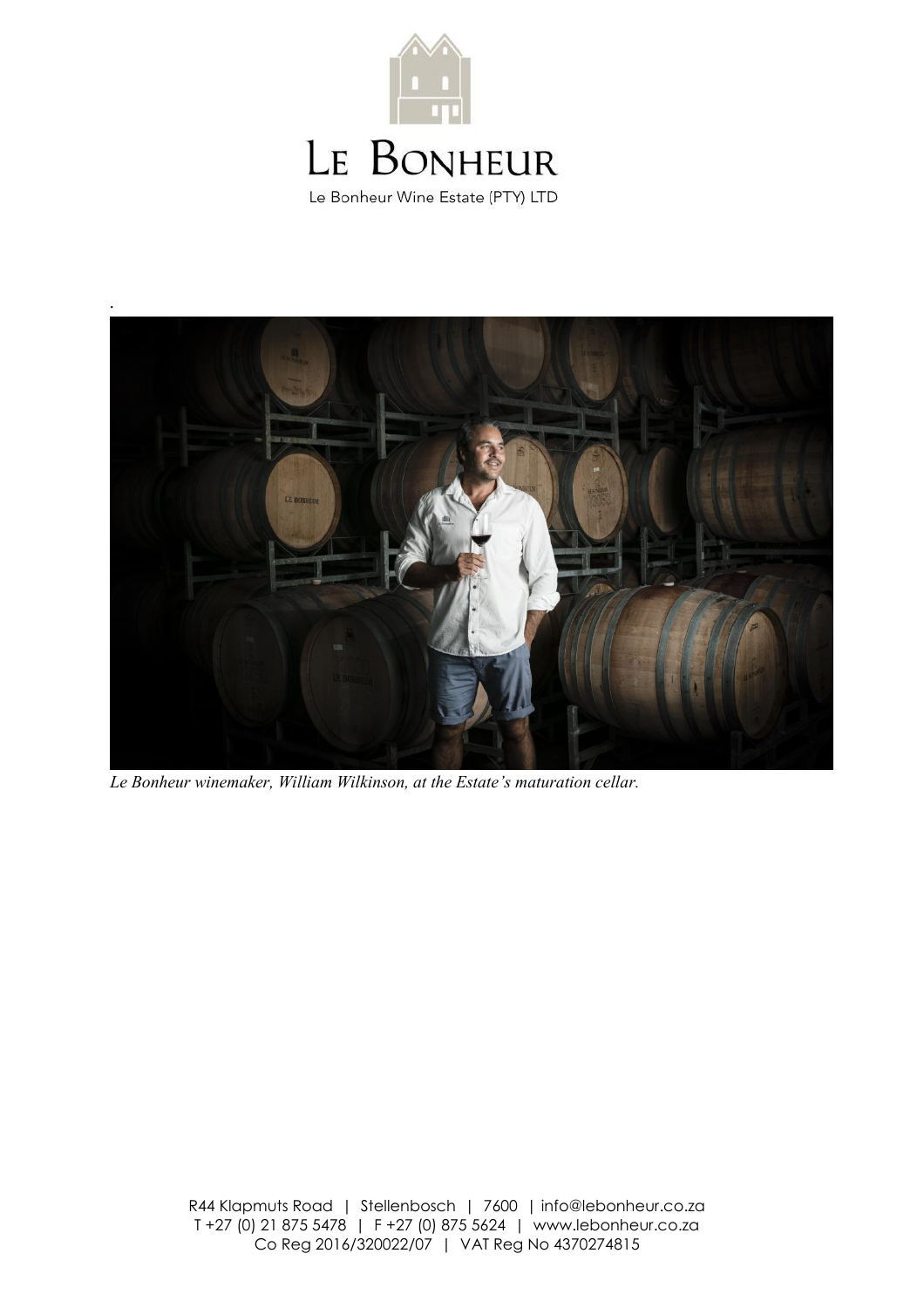



*Le Bonheur winemaker, William Wilkinson, at the Estate's maturation cellar.*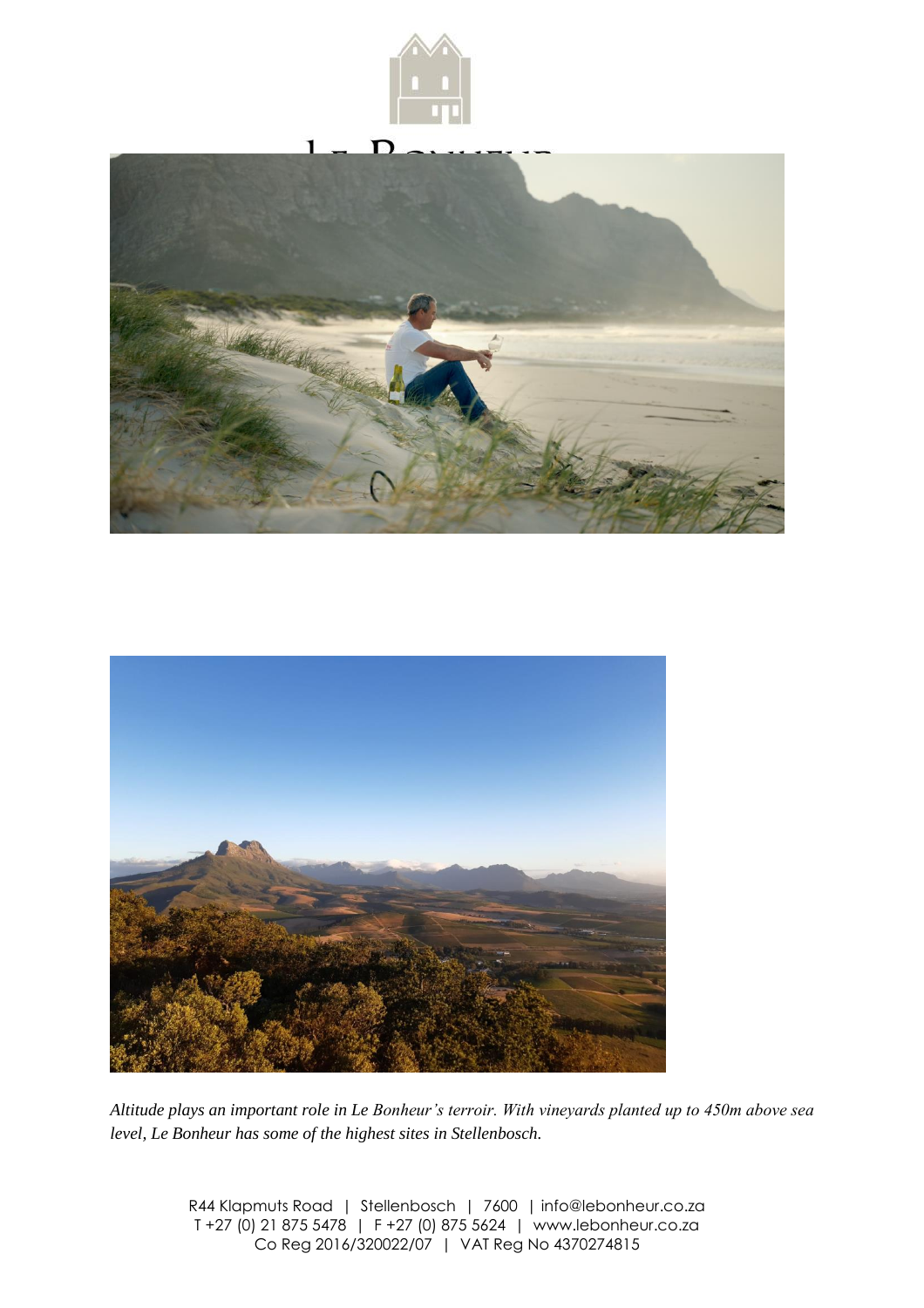





*Altitude plays an important role in Le Bonheur's terroir. With vineyards planted up to 450m above sea level, Le Bonheur has some of the highest sites in Stellenbosch.*

> R44 Klapmuts Road | Stellenbosch | 7600 | info@lebonheur.co.za T +27 (0) 21 875 5478 | F +27 (0) 875 5624 | www.lebonheur.co.za Co Reg 2016/320022/07 | VAT Reg No 4370274815